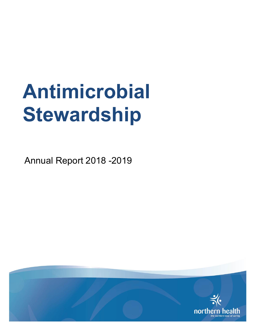# **Antimicrobial Stewardship**

Annual Report 2018 -2019

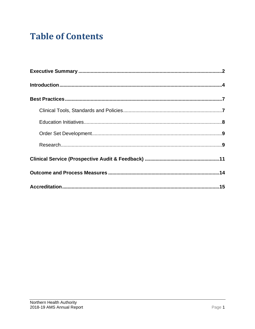# **Table of Contents**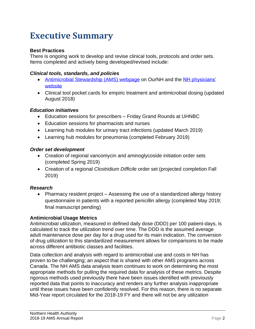# **Executive Summary**

#### **Best Practices**

There is ongoing work to develop and revise clinical tools, protocols and order sets. Items completed and actively being developed/revised include:

#### *Clinical tools, standards, and policies*

- [Antimicrobial Stewardship \(AMS\) webpage](https://ournh.northernhealth.ca/ClinicalPatientCare/Medications/Antimicrobial/Pages/default.aspx) on OurNH and the NH physicians' [website](https://physicians.northernhealth.ca/physician-resources/antimicrobial-stewardship-program#about)
- Clinical tool pocket cards for empiric treatment and antimicrobial dosing (updated August 2018)

#### *Education initiatives*

- Education sessions for prescribers Friday Grand Rounds at UHNBC
- Education sessions for pharmacists and nurses
- Learning hub modules for urinary tract infections (updated March 2019)
- Learning hub modules for pneumonia (completed February 2019)

#### *Order set development*

- Creation of regional vancomycin and aminoglycoside initiation order sets (completed Spring 2019)
- Creation of a regional *Clostridium Difficile* order set (projected completion Fall 2019)

#### *Research*

• Pharmacy resident project – Assessing the use of a standardized allergy history questionnaire in patients with a reported penicillin allergy (completed May 2019; final manuscript pending)

#### **Antimicrobial Usage Metrics**

Antimicrobial utilization, measured in defined daily dose (DDD) per 100 patient-days, is calculated to track the utilization trend over time. The DDD is the assumed average adult maintenance dose per day for a drug used for its main indication. The conversion of drug utilization to this standardized measurement allows for comparisons to be made across different antibiotic classes and facilities.

Data collection and analysis with regard to antimicrobial use and costs in NH has proven to be challenging; an aspect that is shared with other AMS programs across Canada. The NH AMS data analysis team continues to work on determining the most appropriate methods for pulling the required data for analysis of these metrics. Despite rigorous methods used previously there have been issues identified with previously reported data that points to inaccuracy and renders any further analysis inappropriate until these issues have been confidently resolved. For this reason, there is no separate Mid-Year report circulated for the 2018-19 FY and there will not be any utilization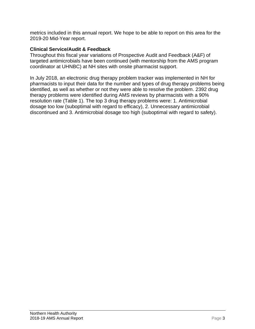metrics included in this annual report. We hope to be able to report on this area for the 2019-20 Mid-Year report.

#### **Clinical Service/Audit & Feedback**

Throughout this fiscal year variations of Prospective Audit and Feedback (A&F) of targeted antimicrobials have been continued (with mentorship from the AMS program coordinator at UHNBC) at NH sites with onsite pharmacist support.

In July 2018, an electronic drug therapy problem tracker was implemented in NH for pharmacists to input their data for the number and types of drug therapy problems being identified, as well as whether or not they were able to resolve the problem. 2392 drug therapy problems were identified during AMS reviews by pharmacists with a 90% resolution rate (Table 1). The top 3 drug therapy problems were: 1. Antimicrobial dosage too low (suboptimal with regard to efficacy), 2. Unnecessary antimicrobial discontinued and 3. Antimicrobial dosage too high (suboptimal with regard to safety).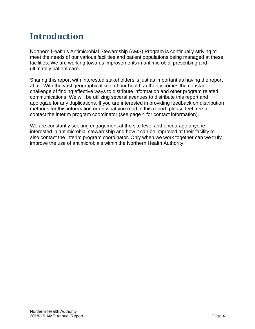# **Introduction**

Northern Health's Antimicrobial Stewardship (AMS) Program is continually striving to meet the needs of our various facilities and patient populations being managed at these facilities. We are working towards improvements in antimicrobial prescribing and ultimately patient care.

Sharing this report with interested stakeholders is just as important as having the report at all. With the vast geographical size of our health authority comes the constant challenge of finding effective ways to distribute information and other program related communications. We will be utilizing several avenues to distribute this report and apologize for any duplications. If you are interested in providing feedback on distribution methods for this information or on what you read in this report, please feel free to contact the interim program coordinator (see page 4 for contact information).

We are constantly seeking engagement at the site level and encourage anyone interested in antimicrobial stewardship and how it can be improved at their facility to also contact the interim program coordinator. Only when we work together can we truly improve the use of antimicrobials within the Northern Health Authority.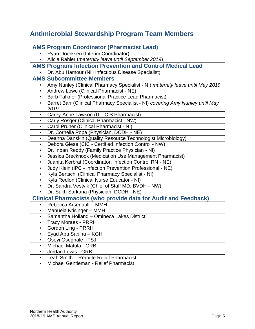### **Antimicrobial Stewardship Program Team Members**

|           | <b>AMS Program Coordinator (Pharmacist Lead)</b>                                      |  |  |  |
|-----------|---------------------------------------------------------------------------------------|--|--|--|
|           | Ryan Doerksen (Interim Coordinator)                                                   |  |  |  |
|           | Alicia Rahier (maternity leave until September 2019)                                  |  |  |  |
|           | <b>AMS Program/Infection Prevention and Control Medical Lead</b>                      |  |  |  |
|           | Dr. Abu Hamour (NH Infectious Disease Specialist)                                     |  |  |  |
|           | <b>AMS Subcommittee Members</b>                                                       |  |  |  |
|           | Amy Nunley (Clinical Pharmacy Specialist - NI) maternity leave until May 2019         |  |  |  |
| $\bullet$ | Andrew Lowe (Clinical Pharmacist - NE)                                                |  |  |  |
|           | Barb Falkner (Professional Practice Lead Pharmacist)                                  |  |  |  |
| $\bullet$ | Barret Barr (Clinical Pharmacy Specialist - NI) covering Amy Nunley until May<br>2019 |  |  |  |
| $\bullet$ | Carey-Anne Lawson (IT - CIS Pharmacist)                                               |  |  |  |
| $\bullet$ | Carly Rosger (Clinical Pharmacist - NW)                                               |  |  |  |
| $\bullet$ | Carol Pruner (Clinical Pharmacist - NI)                                               |  |  |  |
| $\bullet$ | Dr. Cornelia Popa (Physician, DCDH - NE)                                              |  |  |  |
| $\bullet$ | Deanna Danskin (Quality Resource Technologist Microbiology)                           |  |  |  |
| $\bullet$ | Debora Giese (CIC - Certified Infection Control - NW)                                 |  |  |  |
| $\bullet$ | Dr. Inban Reddy (Family Practice Physician - NI)                                      |  |  |  |
| $\bullet$ | Jessica Brecknock (Medication Use Management Pharmacist)                              |  |  |  |
| $\bullet$ | Juanita Kerbrat (Coordinator, Infection Control RN - NE)                              |  |  |  |
| $\bullet$ | Judy Klein (IPC - Infection Prevention Professional - NE)                             |  |  |  |
| $\bullet$ | Kyla Bertschi (Clinical Pharmacy Specialist - NI)                                     |  |  |  |
|           | Kyla Redlon (Clinical Nurse Educator - NI)                                            |  |  |  |
| $\bullet$ | Dr. Sandra Vestvik (Chief of Staff MD, BVDH - NW)                                     |  |  |  |
| $\bullet$ | Dr. Sukh Sarkaria (Physician, DCDH - NE)                                              |  |  |  |
|           | <b>Clinical Pharmacists (who provide data for Audit and Feedback)</b>                 |  |  |  |
|           | Rebecca Arsenault - MMH                                                               |  |  |  |
|           | Manuela Krisinger - MMH                                                               |  |  |  |
| $\bullet$ | Samantha Holland - Omineca Lakes District                                             |  |  |  |
| $\bullet$ | <b>Tracy Moraes - PRRH</b>                                                            |  |  |  |
|           | Gordon Ling - PRRH                                                                    |  |  |  |
| ٠         | Eyad Abu Sabiha - KGH                                                                 |  |  |  |
| ٠         | Oseyi Oseghale - FSJ                                                                  |  |  |  |
| ٠         | Michael Matula - GRB                                                                  |  |  |  |
|           | Jordan Lewis - GRB                                                                    |  |  |  |
|           | Leah Smith - Remote Relief Pharmacist                                                 |  |  |  |
|           | Michael Gentleman - Relief Pharmacist                                                 |  |  |  |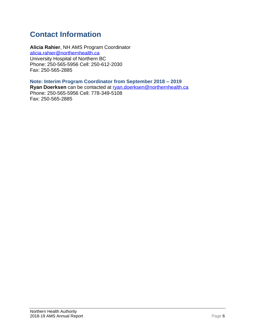### **Contact Information**

**Alicia Rahier**, NH AMS Program Coordinator [alicia.rahier@northernhealth.ca](mailto:alicia.rahier@northernhealth.ca) University Hospital of Northern BC Phone: 250-565-5956 Cell: 250-612-2030 Fax: 250-565-2885

**Note: Interim Program Coordinator from September 2018 – 2019 Ryan Doerksen** can be contacted at [ryan.doerksen@northernhealth.ca](mailto:ryan.doerksen@northernhealth.ca) Phone: 250-565-5956 Cell: 778-349-5108 Fax: 250-565-2885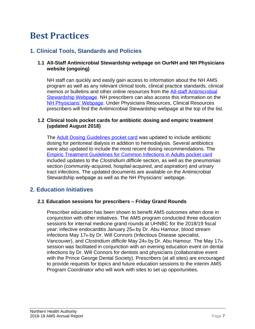# **Best Practices**

### **1. Clinical Tools, Standards and Policies**

#### **1.1 All-Staff Antimicrobial Stewardship webpage on OurNH and NH Physicians website (ongoing)**

NH staff can quickly and easily gain access to information about the NH AMS program as well as any relevant clinical tools, clinical practice standards, clinical memos or bulletins and other online resources from the [All-staff Antimicrobial](https://ournh.northernhealth.ca/ClinicalPatientCare/Medications/Antimicrobial/Pages/default.aspx)  [Stewardship Webpage.](https://ournh.northernhealth.ca/ClinicalPatientCare/Medications/Antimicrobial/Pages/default.aspx) NH prescribers can also access this information on the [NH Physicians'](https://physicians.northernhealth.ca/physician-resources/clinical-resources/antimicrobial-stewardship-program#about) Webpage. Under Physicians Resources, Clinical Resources prescribers will find the Antimicrobial Stewardship webpage at the top of the list.

#### **1.2 Clinical tools pocket cards for antibiotic dosing and empiric treatment (updated August 2018)**

The [Adult Dosing Guidelines pocket](https://ournh.northernhealth.ca/oursites/projects/AntimicroWG/OurNH%20Documents/10-110-6004%20Antimicrobial%20Stewardship%20Program%20Adult%20Dosing%20Guidelines%202018%20(document%20source%20item).pdf) card was updated to include antibiotic dosing for peritoneal dialysis in addition to hemodialysis. Several antibiotics were also updated to include the most recent dosing recommendations. The [Empiric Treatment Guidelines for Common Infections in Adults pocket](https://ournh.northernhealth.ca/oursites/projects/AntimicroWG/OurNH%20Documents/10-110-6070%20Empiric%20Treatment%20Guidelines%20for%20Common%20Infections%20in%20Adults%202018%20(document%20source%20item).pdf) card included updates to the *Clostridium difficile* section, as well as the pneumonias section (community-acquired, hospital-acquired, and aspiration) and urinary tract infections. The updated documents are available on the Antimicrobial Stewardship webpage as well as the NH Physicians' webpage.

### **2. Education Initiatives**

#### **2.1 Education sessions for prescribers – Friday Grand Rounds**

Prescriber education has been shown to benefit AMS outcomes when done in conjunction with other initiatives. The AMS program conducted three education sessions for internal medicine grand rounds at UHNBC for the 2018/19 fiscal year: infective endocarditis January 25th by Dr. Abu Hamour, blood stream infections May 17th by Dr. Will Connors (Infectious Disease specialist, Vancouver), and *Clostridium difficile* May 24th by Dr. Abu Hamour. The May 17th session was facilitated in conjunction with an evening education event on dental infections by Dr. Will Connors for dentists and physicians (collaborative event with the Prince George Dental Society). Prescribers (at all sites) are encouraged to provide requests for topics and future education sessions to the interim AMS Program Coordinator who will work with sites to set up opportunities.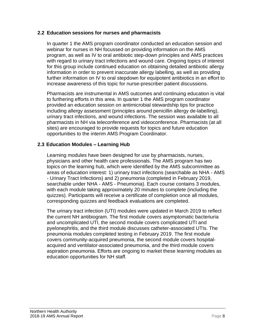#### **2.2 Education sessions for nurses and pharmacists**

In quarter 1 the AMS program coordinator conducted an education session and webinar for nurses in NH focussed on providing information on the AMS program, as well as IV to oral antibiotic step-down principles and AMS practices with regard to urinary tract infections and wound care. Ongoing topics of interest for this group include continued education on obtaining detailed antibiotic allergy information in order to prevent inaccurate allergy labelling, as well as providing further information on IV to oral stepdown for equipotent antibiotics in an effort to increase awareness of this topic for nurse-prescriber patient discussions.

Pharmacists are instrumental in AMS outcomes and continuing education is vital to furthering efforts in this area. In quarter 1 the AMS program coordinator provided an education session on antimicrobial stewardship tips for practice including allergy assessment (principles around penicillin allergy de-labelling), urinary tract infections, and wound infections. The session was available to all pharmacists in NH via teleconference and videoconference. Pharmacists (at all sites) are encouraged to provide requests for topics and future education opportunities to the interim AMS Program Coordinator.

#### **2.3 Education Modules – Learning Hub**

Learning modules have been designed for use by pharmacists, nurses, physicians and other health care professionals. The AMS program has two topics on the learning hub, which were identified by the AMS subcommittee as areas of education interest: 1) urinary tract infections (searchable as NHA - AMS - Urinary Tract Infections) and 2) pneumonia (completed in February 2019, searchable under NHA - AMS - Pneumonia). Each course contains 3 modules, with each module taking approximately 20 minutes to complete (including the quizzes). Participants will receive a certificate of completion once all modules, corresponding quizzes and feedback evaluations are completed.

The urinary tract infection (UTI) modules were updated in March 2019 to reflect the current NH antibiogram. The first module covers asymptomatic bacteriuria and uncomplicated UTI, the second module covers complicated UTI and pyelonephritis, and the third module discusses catheter-associated UTIs. The pneumonia modules completed testing in February 2019. The first module covers community-acquired pneumonia, the second module covers hospitalacquired and ventilator-associated pneumonia, and the third module covers aspiration pneumonia. Efforts are ongoing to market these learning modules as education opportunities for NH staff.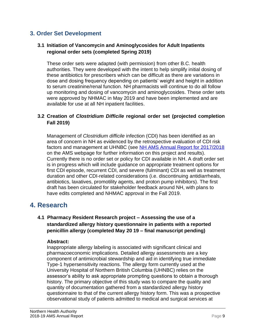### **3. Order Set Development**

#### **3.1 Initiation of Vancomycin and Aminoglycosides for Adult Inpatients regional order sets (completed Spring 2019)**

These order sets were adapted (with permission) from other B.C. health authorities. They were developed with the intent to help simplify initial dosing of these antibiotics for prescribers which can be difficult as there are variations in dose and dosing frequency depending on patients' weight and height in addition to serum creatinine/renal function. NH pharmacists will continue to do all follow up monitoring and dosing of vancomycin and aminoglycosides. These order sets were approved by NHMAC in May 2019 and have been implemented and are available for use at all NH inpatient facilities.

#### **3.2 Creation of** *Clostridium Difficile* **regional order set (projected completion Fall 2019)**

Management of *Clostridium difficile* infection (CDI) has been identified as an area of concern in NH as evidenced by the retrospective evaluation of CDI risk factors and management at UHNBC (see [NH AMS Annual Report for 2017/2018](https://ournh.northernhealth.ca/oursites/projects/AntimicroWG/OurNH%20Documents/AMS%20Annual%20Report_%202017-2018%20Final.pdf) on the AMS webpage for further information on this project and results). Currently there is no order set or policy for CDI available in NH. A draft order set is in progress which will include guidance on appropriate treatment options for first CDI episode, recurrent CDI, and severe (fulminant) CDI as well as treatment duration and other CDI-related considerations (i.e. discontinuing antidiarrheals, antibiotics, laxatives, promotility agents, and proton pump inhibitors). The first draft has been circulated for stakeholder feedback around NH, with plans to have edits completed and NHMAC approval in the Fall 2019.

### **4. Research**

#### **4.1 Pharmacy Resident Research project – Assessing the use of a standardized allergy history questionnaire in patients with a reported penicillin allergy (completed May 20 19 – final manuscript pending)**

#### **Abstract:**

Inappropriate allergy labeling is associated with significant clinical and pharmacoeconomic implications. Detailed allergy assessments are a key component of antimicrobial stewardship and aid in identifying true immediate Type-1 hypersensitivity reactions. The allergy form currently used at the University Hospital of Northern British Columbia (UHNBC) relies on the assessor's ability to ask appropriate prompting questions to obtain a thorough history. The primary objective of this study was to compare the quality and quantity of documentation gathered from a standardized allergy history questionnaire to that of the current allergy history form. This was a prospective observational study of patients admitted to medical and surgical services at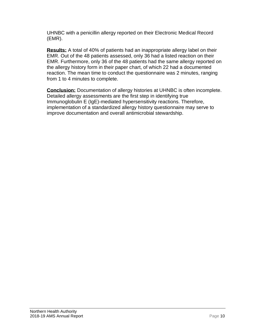UHNBC with a penicillin allergy reported on their Electronic Medical Record (EMR).

**Results:** A total of 40% of patients had an inappropriate allergy label on their EMR. Out of the 48 patients assessed, only 36 had a listed reaction on their EMR. Furthermore, only 36 of the 48 patients had the same allergy reported on the allergy history form in their paper chart, of which 22 had a documented reaction. The mean time to conduct the questionnaire was 2 minutes, ranging from 1 to 4 minutes to complete.

**Conclusion:** Documentation of allergy histories at UHNBC is often incomplete. Detailed allergy assessments are the first step in identifying true Immunoglobulin E (IgE)-mediated hypersensitivity reactions. Therefore, implementation of a standardized allergy history questionnaire may serve to improve documentation and overall antimicrobial stewardship.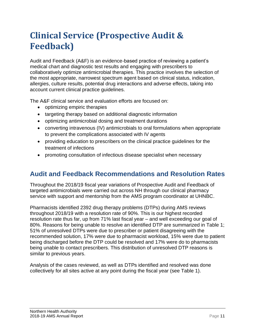# **Clinical Service (Prospective Audit & Feedback)**

Audit and Feedback (A&F) is an evidence-based practice of reviewing a patient's medical chart and diagnostic test results and engaging with prescribers to collaboratively optimize antimicrobial therapies. This practice involves the selection of the most appropriate, narrowest spectrum agent based on clinical status, indication, allergies, culture results, potential drug interactions and adverse effects, taking into account current clinical practice guidelines.

The A&F clinical service and evaluation efforts are focused on:

- optimizing empiric therapies
- targeting therapy based on additional diagnostic information
- optimizing antimicrobial dosing and treatment durations
- converting intravenous (IV) antimicrobials to oral formulations when appropriate to prevent the complications associated with IV agents
- providing education to prescribers on the clinical practice guidelines for the treatment of infections
- promoting consultation of infectious disease specialist when necessary

### **Audit and Feedback Recommendations and Resolution Rates**

Throughout the 2018/19 fiscal year variations of Prospective Audit and Feedback of targeted antimicrobials were carried out across NH through our clinical pharmacy service with support and mentorship from the AMS program coordinator at UHNBC.

Pharmacists identified 2392 drug therapy problems (DTPs) during AMS reviews throughout 2018/19 with a resolution rate of 90%. This is our highest recorded resolution rate thus far, up from 71% last fiscal year – and well exceeding our goal of 80%. Reasons for being unable to resolve an identified DTP are summarized in Table 1; 51% of unresolved DTPs were due to prescriber or patient disagreeing with the recommended solution, 17% were due to pharmacist workload, 15% were due to patient being discharged before the DTP could be resolved and 17% were do to pharmacists being unable to contact prescribers. This distribution of unresolved DTP reasons is similar to previous years.

Analysis of the cases reviewed, as well as DTPs identified and resolved was done collectively for all sites active at any point during the fiscal year (see Table 1).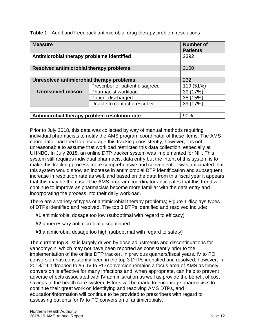**Table 1** - Audit and Feedback antimicrobial drug therapy problem resolutions

| <b>Measure</b>                                |                                 | <b>Number of</b><br><b>Patients</b> |  |  |
|-----------------------------------------------|---------------------------------|-------------------------------------|--|--|
| Antimicrobial therapy problems identified     | 2392                            |                                     |  |  |
|                                               |                                 |                                     |  |  |
| Resolved antimicrobial therapy problems       | 2160                            |                                     |  |  |
|                                               |                                 |                                     |  |  |
| Unresolved antimicrobial therapy problems     | 232                             |                                     |  |  |
|                                               | Prescriber or patient disagreed | 119 (51%)                           |  |  |
| <b>Unresolved reason</b>                      | Pharmacist workload             | 39 (17%)                            |  |  |
|                                               | Patient discharged              | 35 (15%)                            |  |  |
|                                               | Unable to contact prescriber    | 39 (17%)                            |  |  |
|                                               |                                 |                                     |  |  |
| Antimicrobial therapy problem resolution rate | 90%                             |                                     |  |  |

Prior to July 2018, this data was collected by way of manual methods requiring individual pharmacists to notify the AMS program coordinator of these items. The AMS coordinator had tried to encourage this tracking consistently; however, it is not unreasonable to assume that workload restricted this data collection, especially at UHNBC. In July 2018, an online DTP tracker system was implemented for NH. This system still requires individual pharmacist data entry but the intent of this system is to make this tracking process more comprehensive and convenient. It was anticipated that this system would show an increase in antimicrobial DTP identification and subsequent increase in resolution rate as well, and based on the data from this fiscal year it appears that this may be the case. The AMS program coordinator anticipates that this trend will continue to improve as pharmacists become more familiar with the data entry and incorporating the process into their daily workload.

There are a variety of types of antimicrobial therapy problems; Figure 1 displays types of DTPs identified and resolved. The top 3 DTPs identified and resolved include:

- **#1** antimicrobial dosage too low (suboptimal with regard to efficacy)
- **#2** unnecessary antimicrobial discontinued
- **#3** antimicrobial dosage too high (suboptimal with regard to safety)

The current top 3 list is largely driven by dose adjustments and discontinuations for vancomycin, which may not have been reported as consistently prior to the implementation of the online DTP tracker. In previous quarters/fiscal years, IV to PO conversion has consistently been in the top 3 DTPs identified and resolved; however, in 2018/19 it dropped to #6. IV to PO conversion remains a focus area of AMS as timely conversion is effective for many infections and, when appropriate, can help to prevent adverse effects associated with IV administration as well as provide the benefit of cost savings to the health care system. Efforts will be made to encourage pharmacists to continue their great work on identifying and resolving AMS DTPs, and education/information will continue to be provided to prescribers with regard to assessing patients for IV to PO conversion of antimicrobials.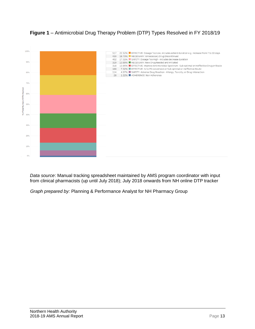

### **Figure 1** – Antimicrobial Drug Therapy Problem (DTP) Types Resolved in FY 2018/19

*Data source*: Manual tracking spreadsheet maintained by AMS program coordinator with input from clinical pharmacists (up until July 2018); July 2018 onwards from NH online DTP tracker

*Graph prepared by:* Planning & Performance Analyst for NH Pharmacy Group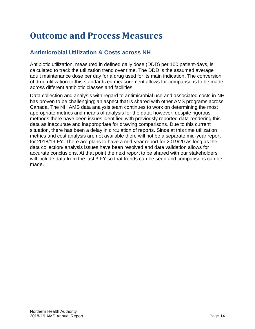# **Outcome and Process Measures**

### **Antimicrobial Utilization & Costs across NH**

Antibiotic utilization, measured in defined daily dose (DDD) per 100 patient-days, is calculated to track the utilization trend over time. The DDD is the assumed average adult maintenance dose per day for a drug used for its main indication. The conversion of drug utilization to this standardized measurement allows for comparisons to be made across different antibiotic classes and facilities.

Data collection and analysis with regard to antimicrobial use and associated costs in NH has proven to be challenging; an aspect that is shared with other AMS programs across Canada. The NH AMS data analysis team continues to work on determining the most appropriate metrics and means of analysis for the data; however, despite rigorous methods there have been issues identified with previously reported data rendering this data as inaccurate and inappropriate for drawing comparisons. Due to this current situation, there has been a delay in circulation of reports. Since at this time utilization metrics and cost analysis are not available there will not be a separate mid-year report for 2018/19 FY. There are plans to have a mid-year report for 2019/20 as long as the data collection/ analysis issues have been resolved and data validation allows for accurate conclusions. At that point the next report to be shared with our stakeholders will include data from the last 3 FY so that trends can be seen and comparisons can be made.